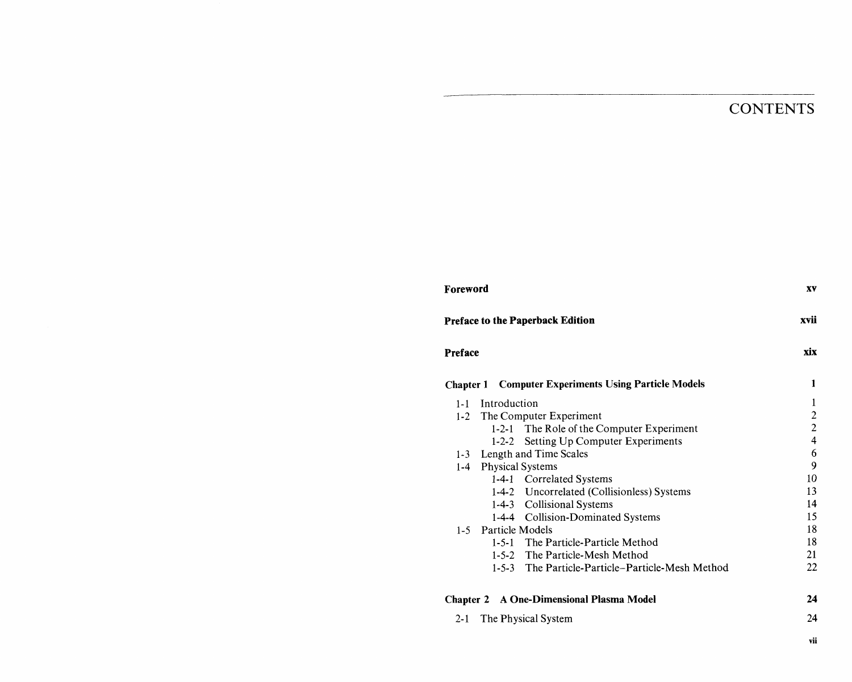## **CONTENTS**

| Foreword  |                                                   | XV                      |
|-----------|---------------------------------------------------|-------------------------|
|           | <b>Preface to the Paperback Edition</b>           | xvii                    |
| Preface   |                                                   | xix                     |
| Chapter 1 | <b>Computer Experiments Using Particle Models</b> | 1                       |
| $1 - 1$   | Introduction                                      | 1                       |
|           | 1-2 The Computer Experiment                       | $\overline{c}$          |
|           | 1-2-1 The Role of the Computer Experiment         | $\overline{c}$          |
|           | Setting Up Computer Experiments<br>$1 - 2 - 2$    | $\overline{\mathbf{4}}$ |
|           | 1-3 Length and Time Scales                        | 6                       |
| $1 - 4$   | <b>Physical Systems</b>                           | 9                       |
|           | 1-4-1 Correlated Systems                          | 10                      |
|           | 1-4-2 Uncorrelated (Collisionless) Systems        | 13                      |
|           | 1-4-3 Collisional Systems                         | 14                      |
|           | 1-4-4 Collision-Dominated Systems                 | 15                      |
| $1 - 5$   | Particle Models                                   | 18                      |
|           | 1-5-1 The Particle-Particle Method                | 18                      |
|           | 1-5-2 The Particle-Mesh Method                    | 21                      |
|           | 1-5-3 The Particle-Particle-Particle-Mesh Method  | 22                      |
|           | <b>Chapter 2 A One-Dimensional Plasma Model</b>   | 24                      |
| $2 - 1$   | The Physical System                               | 24                      |

 $\mathbf{vii}$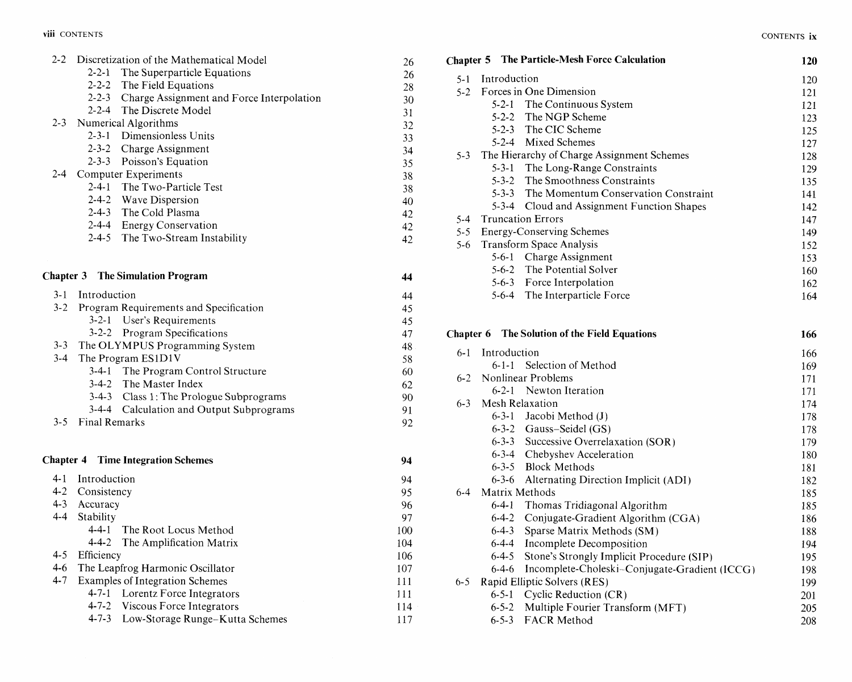| $2 - 2$   | Discretization of the Mathematical Model        | 26  |
|-----------|-------------------------------------------------|-----|
|           | $2 - 2 - 1$<br>The Superparticle Equations      | 26  |
|           | 2-2-2 The Field Equations                       | 28  |
|           | 2-2-3 Charge Assignment and Force Interpolation | 30  |
|           | 2-2-4 The Discrete Model                        | 31  |
| $2 - 3$   | Numerical Algorithms                            | 32  |
|           | 2-3-1 Dimensionless Units                       | 33  |
|           | 2-3-2 Charge Assignment                         | 34  |
|           | 2-3-3 Poisson's Equation                        | 35  |
| $2 - 4$   | <b>Computer Experiments</b>                     | 38  |
|           | 2-4-1 The Two-Particle Test                     | 38  |
|           | 2-4-2 Wave Dispersion                           | 40  |
|           | 2-4-3 The Cold Plasma                           | 42  |
|           | 2-4-4 Energy Conservation                       | 42  |
|           | 2-4-5 The Two-Stream Instability                | 42  |
|           |                                                 |     |
|           | <b>Chapter 3</b> The Simulation Program         | 44  |
|           |                                                 |     |
| $3 - 1$   | Introduction                                    | 44  |
| $3 - 2$   | Program Requirements and Specification          | 45  |
|           | 3-2-1 User's Requirements                       | 45  |
|           | 3-2-2 Program Specifications                    | 47  |
| $3 - 3$   | The OLYMPUS Programming System                  | 48  |
| $3-4$     | The Program ES1D1V                              | 58  |
|           | 3-4-1 The Program Control Structure             | 60  |
|           | 3-4-2 The Master Index                          | 62  |
|           | 3-4-3 Class 1: The Prologue Subprograms         | 90  |
|           | 3-4-4 Calculation and Output Subprograms        | 91  |
| $3 - 5$   | <b>Final Remarks</b>                            | 92  |
|           |                                                 |     |
| Chapter 4 | <b>Time Integration Schemes</b>                 | 94  |
| $4 - 1$   | Introduction                                    | 94  |
|           | 4-2 Consistency                                 | 95  |
|           | 4-3 Accuracy                                    | 96  |
| $4 - 4$   | Stability                                       | 97  |
|           | $4 - 4 - 1$<br>The Root Locus Method            | 100 |
|           | $4 - 4 - 2$<br>The Amplification Matrix         | 104 |
| $4 - 5$   | Efficiency                                      | 106 |
| $4 - 6$   | The Leapfrog Harmonic Oscillator                | 107 |
| $4 - 7$   | <b>Examples of Integration Schemes</b>          | 111 |
|           | $4 - 7 - 1$<br>Lorentz Force Integrators        | 111 |
|           | $4 - 7 - 2$<br>Viscous Force Integrators        | 114 |
|           | $4 - 7 - 3$<br>Low-Storage Runge-Kutta Schemes  | 117 |
|           |                                                 |     |

|         |                | Chapter 5 The Particle-Mesh Force Calculation                | 120 |
|---------|----------------|--------------------------------------------------------------|-----|
| $5 - 1$ | Introduction   |                                                              | 120 |
| $5 - 2$ |                | Forces in One Dimension                                      | 121 |
|         | $5 - 2 - 1$    | The Continuous System                                        | 121 |
|         | $5 - 2 - 2$    | The NGP Scheme                                               | 123 |
|         |                | 5-2-3 The CIC Scheme                                         | 125 |
|         |                | 5-2-4 Mixed Schemes                                          | 127 |
| $5 - 3$ |                | The Hierarchy of Charge Assignment Schemes                   | 128 |
|         | $5 - 3 - 1$    | The Long-Range Constraints                                   | 129 |
|         | $5 - 3 - 2$    | The Smoothness Constraints                                   | 135 |
|         | $5 - 3 - 3$    | The Momentum Conservation Constraint                         | 141 |
|         | $5 - 3 - 4$    | Cloud and Assignment Function Shapes                         | 142 |
| $5-4$   |                | <b>Truncation Errors</b>                                     | 147 |
| $5 - 5$ |                | <b>Energy-Conserving Schemes</b>                             | 149 |
| $5-6$   |                | Transform Space Analysis                                     | 152 |
|         | $5 - 6 - 1$    | Charge Assignment                                            | 153 |
|         | $5 - 6 - 2$    | The Potential Solver                                         | 160 |
|         |                | 5-6-3 Force Interpolation                                    | 162 |
|         |                | 5-6-4 The Interparticle Force                                | 164 |
|         |                |                                                              |     |
|         |                | Chapter 6 The Solution of the Field Equations                | 166 |
| $6 - 1$ | Introduction   |                                                              | 166 |
|         | $6 - 1 - 1$    | Selection of Method                                          | 169 |
| $6 - 2$ |                |                                                              |     |
|         |                | Nonlinear Problems                                           | 171 |
|         | $6 - 2 - 1$    | Newton Iteration                                             | 171 |
| $6 - 3$ |                | Mesh Relaxation                                              | 174 |
|         | $6 - 3 - 1$    | Jacobi Method (J)                                            | 178 |
|         |                | 6-3-2 Gauss-Seidel (GS)                                      | 178 |
|         | $6 - 3 - 3$    | Successive Overrelaxation (SOR)                              | 179 |
|         |                | 6-3-4 Chebyshev Acceleration                                 | 180 |
|         | $6 - 3 - 5$    | <b>Block Methods</b>                                         | 181 |
|         | $6 - 3 - 6$    | Alternating Direction Implicit (ADI)                         | 182 |
| $6-4$   | Matrix Methods |                                                              | 185 |
|         | $6 - 4 - 1$    | Thomas Tridiagonal Algorithm                                 | 185 |
|         | $6 - 4 - 2$    | Conjugate-Gradient Algorithm (CGA)                           | 186 |
|         | $6 - 4 - 3$    | Sparse Matrix Methods (SM)                                   | 188 |
|         | $6 - 4 - 4$    | Incomplete Decomposition                                     | 194 |
|         | $6 - 4 - 5$    | Stone's Strongly Implicit Procedure (SIP)                    | 195 |
|         | $6 - 4 - 6$    | Incomplete-Choleski-Conjugate-Gradient (ICCG)                | 198 |
| $6 - 5$ |                | Rapid Elliptic Solvers (RES)<br>$6.51$ Cyclic Deduction (CD) | 199 |

6-5-1 Cyclic Reduction (CR) 201 6-5-2 Multiple Fourier Transform (MFT) 205 6-5-3 FACR Method 208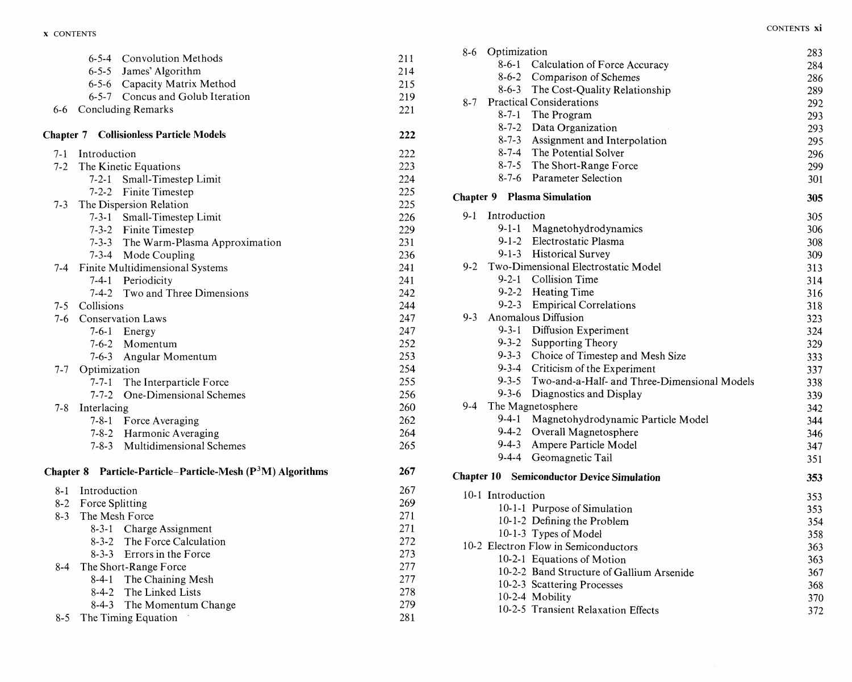|         | $6 - 5 - 4$         | Convolution Methods                                          | 211 |
|---------|---------------------|--------------------------------------------------------------|-----|
|         | $6 - 5 - 5$         | James' Algorithm                                             | 214 |
|         | 6-5-6               | Capacity Matrix Method                                       | 215 |
|         |                     | 6-5-7 Concus and Golub Iteration                             | 219 |
| 6-6     |                     | <b>Concluding Remarks</b>                                    | 221 |
|         |                     | <b>Chapter 7 Collisionless Particle Models</b>               | 222 |
| $7-1$   | Introduction        |                                                              | 222 |
| $7 - 2$ |                     | The Kinetic Equations                                        | 223 |
|         | $7 - 2 - 1$         | Small-Timestep Limit                                         | 224 |
|         | $7 - 2 - 2$         | Finite Timestep                                              | 225 |
| $7 - 3$ |                     | The Dispersion Relation                                      | 225 |
|         |                     | 7-3-1 Small-Timestep Limit                                   | 226 |
|         |                     | 7-3-2 Finite Timestep                                        | 229 |
|         |                     | 7-3-3 The Warm-Plasma Approximation                          | 231 |
|         |                     | 7-3-4 Mode Coupling                                          | 236 |
|         |                     | 7-4 Finite Multidimensional Systems                          | 241 |
|         |                     | 7-4-1 Periodicity                                            | 241 |
|         |                     | 7-4-2 Two and Three Dimensions                               | 242 |
|         | 7-5 Collisions      |                                                              | 244 |
| $7-6$   |                     | <b>Conservation Laws</b>                                     | 247 |
|         |                     | $7-6-1$ Energy                                               | 247 |
|         |                     | 7-6-2 Momentum                                               | 252 |
|         | $7 - 6 - 3$         | Angular Momentum                                             | 253 |
| $7 - 7$ | Optimization        |                                                              | 254 |
|         |                     | 7-7-1 The Interparticle Force                                | 255 |
|         | $7 - 7 - 2$         | One-Dimensional Schemes                                      | 256 |
| $7 - 8$ | Interlacing         |                                                              | 260 |
|         |                     | 7-8-1 Force Averaging                                        | 262 |
|         |                     | 7-8-2 Harmonic Averaging                                     | 264 |
|         |                     | 7-8-3 Multidimensional Schemes                               | 265 |
|         |                     | Chapter 8 Particle-Particle-Particle-Mesh $(P3M)$ Algorithms | 267 |
|         | 8-1 Introduction    |                                                              | 267 |
|         | 8-2 Force Splitting |                                                              | 269 |
| $8 - 3$ | The Mesh Force      |                                                              | 271 |
|         |                     | 8-3-1 Charge Assignment                                      | 271 |
|         | $8 - 3 - 2$         | The Force Calculation                                        | 272 |
|         | $8 - 3 - 3$         | Errors in the Force                                          | 273 |
| $8 - 4$ |                     | The Short-Range Force                                        | 277 |
|         | $8-4-1$             | The Chaining Mesh                                            | 277 |
|         | $8-4-2$             | The Linked Lists                                             | 278 |
|         | $8 - 4 - 3$         | The Momentum Change                                          | 279 |
| $8 - 5$ |                     | The Timing Equation                                          | 281 |

| 8-6       | Optimization      |                                                   | 283 |
|-----------|-------------------|---------------------------------------------------|-----|
|           | $8 - 6 - 1$       | Calculation of Force Accuracy                     | 284 |
|           |                   | 8-6-2 Comparison of Schemes                       | 286 |
|           |                   | 8-6-3 The Cost-Quality Relationship               | 289 |
| $8 - 7$   |                   | <b>Practical Considerations</b>                   | 292 |
|           |                   | 8-7-1 The Program                                 | 293 |
|           | $8 - 7 - 2$       | Data Organization                                 | 293 |
|           | $8 - 7 - 3$       | Assignment and Interpolation                      | 295 |
|           | $8 - 7 - 4$       | The Potential Solver                              | 296 |
|           | $8 - 7 - 5$       | The Short-Range Force                             | 299 |
|           | $8 - 7 - 6$       | Parameter Selection                               | 301 |
| Chapter 9 |                   | <b>Plasma Simulation</b>                          | 305 |
| $9-1$     | Introduction      |                                                   | 305 |
|           |                   | 9-1-1 Magnetohydrodynamics                        | 306 |
|           |                   | 9-1-2 Electrostatic Plasma                        | 308 |
|           |                   | 9-1-3 Historical Survey                           | 309 |
| $9 - 2$   |                   | Two-Dimensional Electrostatic Model               | 313 |
|           |                   | 9-2-1 Collision Time                              | 314 |
|           |                   | 9-2-2 Heating Time                                | 316 |
|           |                   | 9-2-3 Empirical Correlations                      | 318 |
| $9 - 3$   |                   | Anomalous Diffusion                               | 323 |
|           |                   | 9-3-1 Diffusion Experiment                        | 324 |
|           |                   | 9-3-2 Supporting Theory                           | 329 |
|           | $9 - 3 - 3$       | Choice of Timestep and Mesh Size                  | 333 |
|           |                   | 9-3-4 Criticism of the Experiment                 | 337 |
|           | $9 - 3 - 5$       | Two-and-a-Half- and Three-Dimensional Models      | 338 |
|           | $9 - 3 - 6$       | Diagnostics and Display                           | 339 |
| $9-4$     |                   | The Magnetosphere                                 | 342 |
|           |                   | 9-4-1 Magnetohydrodynamic Particle Model          | 344 |
|           |                   | 9-4-2 Overall Magnetosphere                       | 346 |
|           | $9 - 4 - 3$       | Ampere Particle Model                             | 347 |
|           |                   | 9-4-4 Geomagnetic Tail                            | 351 |
|           |                   | <b>Chapter 10 Semiconductor Device Simulation</b> | 353 |
|           | 10-1 Introduction |                                                   | 353 |
|           |                   | 10-1-1 Purpose of Simulation                      | 353 |
|           |                   | 10-1-2 Defining the Problem                       | 354 |
|           |                   | 10-1-3 Types of Model                             | 358 |
|           |                   | 10-2 Electron Flow in Semiconductors              | 363 |
|           |                   | 10-2-1 Equations of Motion                        | 363 |
|           |                   | 10-2-2 Band Structure of Gallium Arsenide         | 367 |
|           |                   | 10-2-3 Scattering Processes                       | 368 |
|           |                   | 10-2-4 Mobility                                   | 370 |
|           |                   | 10-2-5 Transient Relaxation Effects               | 372 |